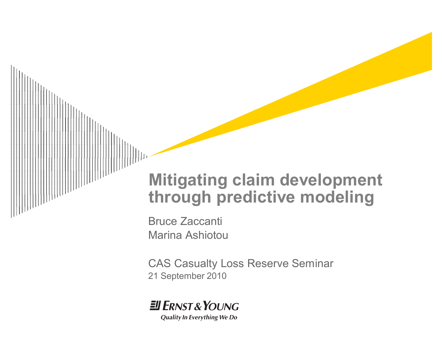# **Mitigating claim development through predictive modeling**

Bruce Zaccanti Marina Ashiotou

CAS Casualty Loss Reserve Seminar 21 September 2010

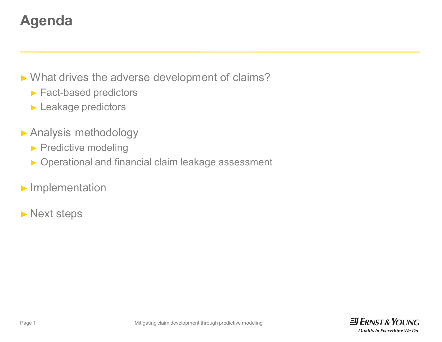### **Agenda**

► What drives the adverse development of claims?

- ► Fact-based predictors
- ► Leakage predictors
- ► Analysis methodology
	- ► Predictive modeling
	- ► Operational and financial claim leakage assessment
- ► Implementation
- ► Next steps

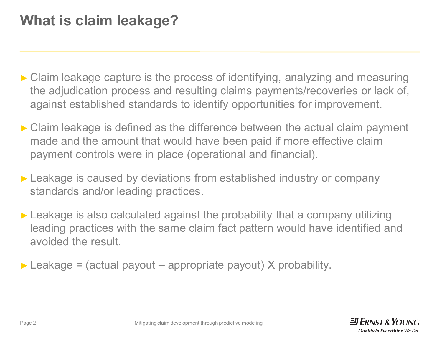### **What is claim leakage?**

- ► Claim leakage capture is the process of identifying, analyzing and measuring the adjudication process and resulting claims payments/recoveries or lack of, against established standards to identify opportunities for improvement.
- ► Claim leakage is defined as the difference between the actual claim payment made and the amount that would have been paid if more effective claim payment controls were in place (operational and financial).
- ► Leakage is caused by deviations from established industry or company standards and/or leading practices.
- ► Leakage is also calculated against the probability that a company utilizing leading practices with the same claim fact pattern would have identified and avoided the result.
- $\triangleright$  Leakage = (actual payout appropriate payout) X probability.

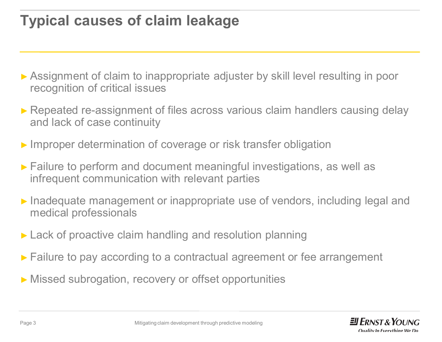### **Typical causes of claim leakage**

- ► Assignment of claim to inappropriate adjuster by skill level resulting in poor recognition of critical issues
- ► Repeated re-assignment of files across various claim handlers causing delay and lack of case continuity
- ► Improper determination of coverage or risk transfer obligation
- ► Failure to perform and document meaningful investigations, as well as infrequent communication with relevant parties
- ► Inadequate management or inappropriate use of vendors, including legal and medical professionals
- ► Lack of proactive claim handling and resolution planning
- ► Failure to pay according to a contractual agreement or fee arrangement
- ► Missed subrogation, recovery or offset opportunities

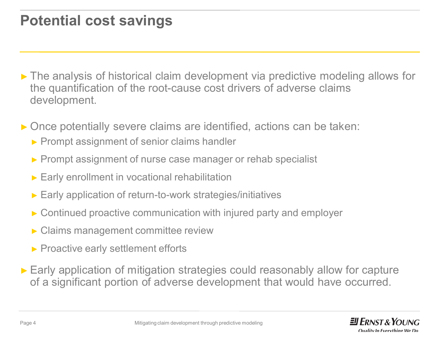### **Potential cost savings**

- ► The analysis of historical claim development via predictive modeling allows for the quantification of the root-cause cost drivers of adverse claims development.
- ► Once potentially severe claims are identified, actions can be taken:
	- ► Prompt assignment of senior claims handler
	- ► Prompt assignment of nurse case manager or rehab specialist
	- ► Early enrollment in vocational rehabilitation
	- ► Early application of return-to-work strategies/initiatives
	- ► Continued proactive communication with injured party and employer
	- ► Claims management committee review
	- ► Proactive early settlement efforts
- ► Early application of mitigation strategies could reasonably allow for capture of a significant portion of adverse development that would have occurred.

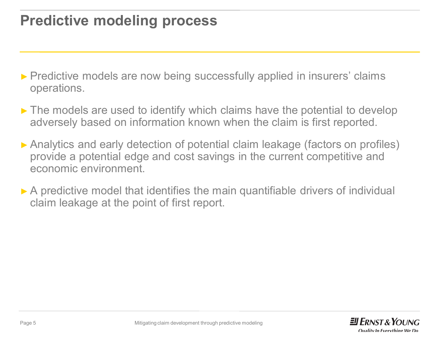### **Predictive modeling process**

- ► Predictive models are now being successfully applied in insurers' claims operations.
- ► The models are used to identify which claims have the potential to develop adversely based on information known when the claim is first reported.
- ► Analytics and early detection of potential claim leakage (factors on profiles) provide a potential edge and cost savings in the current competitive and economic environment.
- ► A predictive model that identifies the main quantifiable drivers of individual claim leakage at the point of first report.

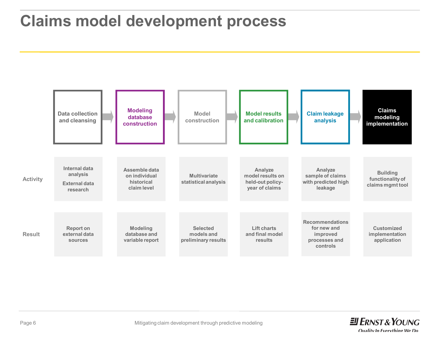### **Claims model development process**



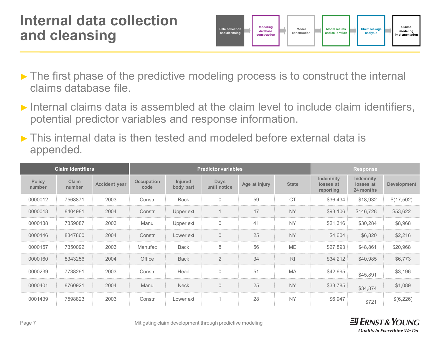#### **Internal data collection and cleansing**



- ► The first phase of the predictive modeling process is to construct the internal claims database file.
- ► Internal claims data is assembled at the claim level to include claim identifiers, potential predictor variables and response information.
- ► This internal data is then tested and modeled before external data is appended.

|                         | <b>Claim identifiers</b> |                      | <b>Predictor variables</b> |                             |                             |               |                |                                     | <b>Response</b>                     |                    |
|-------------------------|--------------------------|----------------------|----------------------------|-----------------------------|-----------------------------|---------------|----------------|-------------------------------------|-------------------------------------|--------------------|
| <b>Policy</b><br>number | Claim<br>number          | <b>Accident year</b> | <b>Occupation</b><br>code  | <b>Injured</b><br>body part | <b>Days</b><br>until notice | Age at injury | <b>State</b>   | Indemnity<br>losses at<br>reporting | Indemnity<br>losses at<br>24 months | <b>Development</b> |
| 0000012                 | 7568871                  | 2003                 | Constr                     | <b>Back</b>                 | $\Omega$                    | 59            | C <sub>T</sub> | \$36,434                            | \$18,932                            | \$(17,502)         |
| 0000018                 | 8404981                  | 2004                 | Constr                     | Upper ext                   |                             | 47            | <b>NY</b>      | \$93,106                            | \$146,728                           | \$53,622           |
| 0000138                 | 7359087                  | 2003                 | Manu                       | Upper ext                   | $\Omega$                    | 41            | <b>NY</b>      | \$21.316                            | \$30,284                            | \$8,968            |
| 0000146                 | 8347860                  | 2004                 | Constr                     | Lower ext                   | $\Omega$                    | 25            | <b>NY</b>      | \$4.604                             | \$6,820                             | \$2.216            |
| 0000157                 | 7350092                  | 2003                 | Manufac                    | <b>Back</b>                 | 8                           | 56            | ME             | \$27,893                            | \$48.861                            | \$20,968           |
| 0000160                 | 8343256                  | 2004                 | Office                     | <b>Back</b>                 |                             | 34            | R <sub>l</sub> | \$34,212                            | \$40,985                            | \$6,773            |
| 0000239                 | 7738291                  | 2003                 | Constr                     | Head                        | $\Omega$                    | 51            | MA             | \$42,695                            | \$45.891                            | \$3,196            |
| 0000401                 | 8760921                  | 2004                 | Manu                       | <b>Neck</b>                 |                             | 25            | <b>NY</b>      | \$33,785                            | \$34,874                            | \$1,089            |
| 0001439                 | 7598823                  | 2003                 | Constr                     | Lower ext                   |                             | 28            | <b>NY</b>      | \$6,947                             | \$721                               | \$(6,226)          |

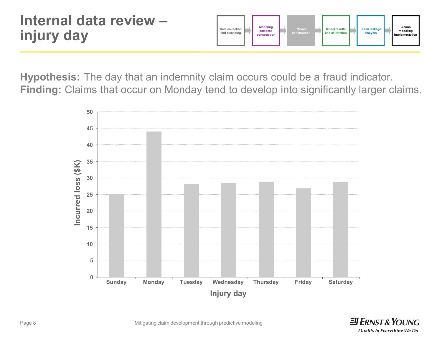

**Hypothesis:** The day that an indemnity claim occurs could be a fraud indicator. **Finding:** Claims that occur on Monday tend to develop into significantly larger claims.



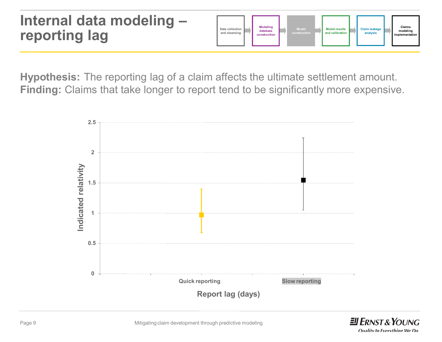#### **Internal data modeling – reporting lag**



**Hypothesis:** The reporting lag of a claim affects the ultimate settlement amount. **Finding:** Claims that take longer to report tend to be significantly more expensive.



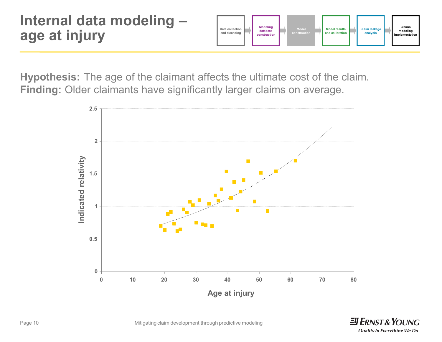#### **Internal data modeling – age at injury Data collection and cleansing Modeling database construction Model construction Model results and calibration Claims modeling implementation Claim leakage analysis**

**Hypothesis:** The age of the claimant affects the ultimate cost of the claim. **Finding:** Older claimants have significantly larger claims on average.



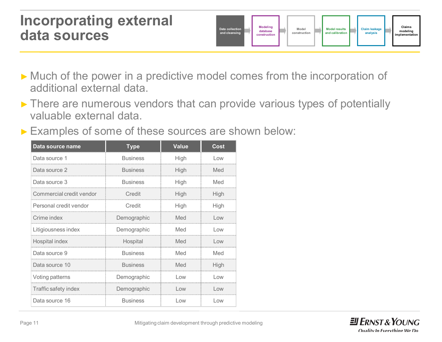#### **Incorporating external data sources**



- ► Much of the power in a predictive model comes from the incorporation of additional external data.
- ► There are numerous vendors that can provide various types of potentially valuable external data.
- ► Examples of some of these sources are shown below:

| Data source name         | <b>Type</b>     | <b>Value</b> | <b>Cost</b> |
|--------------------------|-----------------|--------------|-------------|
| Data source 1            | <b>Business</b> | High         | Low         |
| Data source 2            | <b>Business</b> | High         | Med         |
| Data source 3            | <b>Business</b> | High         | Med         |
| Commercial credit vendor | Credit          | High         | High        |
| Personal credit vendor   | Credit          | High         | High        |
| Crime index              | Demographic     | Med          | Low         |
| Litigiousness index      | Demographic     | Med          | Low         |
| Hospital index           | Hospital        | Med          | Low         |
| Data source 9            | <b>Business</b> | Med          | Med         |
| Data source 10           | <b>Business</b> | Med          | High        |
| Voting patterns          | Demographic     | Low          | Low         |
| Traffic safety index     | Demographic     | Low          | Low         |
| Data source 16           | <b>Business</b> | Low          | Low         |

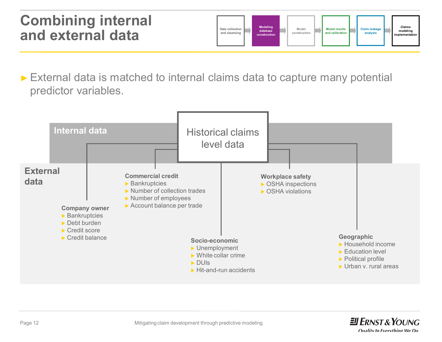#### **Combining internal and external data**



► External data is matched to internal claims data to capture many potential predictor variables.



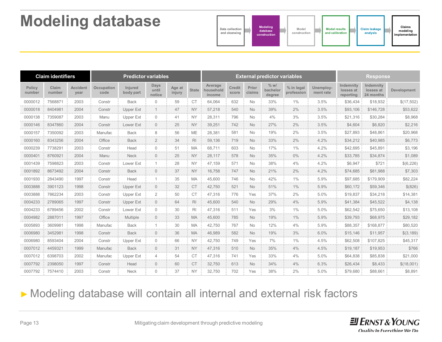### **Modeling database**



|                              | <b>Claim identifiers</b> |                         |                       | <b>Predictor variables</b> |                                |                         |                              | <b>External predictor variables</b> |                                    |                                |                              |                            | <b>Response</b>        |                                     |                                     |                       |
|------------------------------|--------------------------|-------------------------|-----------------------|----------------------------|--------------------------------|-------------------------|------------------------------|-------------------------------------|------------------------------------|--------------------------------|------------------------------|----------------------------|------------------------|-------------------------------------|-------------------------------------|-----------------------|
| <b>Policy</b><br>number      | Claim<br>number          | <b>Accident</b><br>year | Occupation<br>code    | Injured<br>body part       | <b>Days</b><br>until<br>notice | Age at<br>injury        | <b>State</b>                 | Average<br>household<br>income      | Credit<br>score                    | Prior<br>claims                | $%$ w/<br>bachelor<br>degree | % in legal<br>profession   | Unemploy-<br>ment rate | Indemnity<br>losses at<br>reporting | Indemnity<br>losses at<br>24 months | <b>Development</b>    |
| 0000012                      | 7568871                  | 2003                    | Constr                | <b>Back</b>                | $\Omega$                       | 59                      | <b>CT</b>                    | 64,064                              | 632<br>44,444                      | <b>No</b>                      | 33%                          | 1%                         | 3.5%                   | \$36,434                            | \$18.932                            | \$(17,502)            |
| 0000018                      | 8404981                  | 2004                    | Constr                | <b>Upper Ext</b>           |                                | 47                      | <b>NY</b>                    | 57,218                              | 540<br><b>COLLECT</b>              | <b>No</b>                      | 39%                          | 2%                         | 3.5%                   | \$93,106                            | \$146,728                           | \$53,622              |
| 0000138                      | 7359087                  | 2003                    | Manu                  | Upper Ext                  |                                | 41                      | <b>NY</b>                    | 28.311                              | 796                                | <b>No</b>                      | 4%                           | 3%                         | 3.5%                   | \$21,316                            | \$30.284                            | \$8,968               |
| 0000146<br>.                 | 8347860                  | 2004<br>2012/07/23      | Constr<br>---------   | Lower Ext                  |                                | 25<br><b>COLLE</b>      | <b>NY</b><br><b>CONTRACT</b> | 39,251<br>.                         | 742<br><b>CONTRACT</b>             | <b>No</b><br>.                 | 120717-012                   | 2%<br>.                    | 3.5%                   | \$4,604<br>----------               | \$6.820<br>.                        | \$2,216<br>.          |
| 0000157<br>.                 | 7350092                  | 2003<br><b>A </b>       | Manufac               | <b>Back</b>                |                                | 56<br><b>COLLA</b>      | <b>ME</b><br>120221-012      | 28.381                              | 581<br><b>CONTRACTOR</b>           | <b>No</b><br>.                 | 19%                          | 2%                         | 3.5%                   | \$27,893                            | \$48,861                            | \$20.968<br>          |
| 0000160<br><b>**********</b> | 8343256<br>----------    | 2004<br>                | Office                | <b>Back</b>                |                                | 34<br><b>CONTRACTOR</b> | <b>RI</b><br>.               | 59.136                              | 719<br>120717-010                  | <b>No</b><br>.                 | 33%                          | 2%<br>                     | 4.2%                   | \$34,212<br>.                       | \$40.985                            | \$6,773               |
| 0000239                      | 7738291                  | 2003                    | Constr                | Head                       | U                              | 51                      | МA                           | 68.711                              | 603                                | No                             | 17%                          | $1\%$                      | 4.2%                   | \$42,695                            | \$45.891                            | \$3.196               |
| 0000401                      | 8760921                  | 2004                    | Manu                  | <b>Neck</b>                |                                | 25                      | <b>NY</b>                    | 28.117                              | 578                                | <b>No</b>                      | 35%                          | 0%                         | 4.2%                   | \$33,785                            | \$34,874                            | \$1,089               |
| 0001439                      | 7598823                  | 2003                    | Consti                | Lower Ext                  |                                | 28                      | <b>NY</b>                    | 47.159                              | 571                                | No                             | 38%                          | 4%                         | 4.2%                   | \$6,947                             | \$721                               | \$(6,226)<br>49.49.49 |
| 0001892                      | 8673492                  | 2004                    | Constr                | <b>Back</b>                |                                | 37                      | <b>NY</b>                    | 16.758                              | 747                                | <b>No</b>                      | 21%                          | 2%                         | 4.2%                   | \$74,685                            | \$81,988                            | \$7,303               |
| 0001930                      | 2843490<br>              | 1997                    | Consti<br>*********** | Head<br>                   |                                | 35                      | MA                           | 45.600<br>-----------               | 746                                | No                             | 42%                          | 1%<br>                     | 5.9%<br>-------------  | \$97.685<br>                        | \$179,909                           | \$82.224<br>          |
| <b></b><br>0003888           | 3901123                  | ***********<br>1998     | Constr                | Upper Ext                  |                                | 111111111<br>32         | 4444444<br>C <sub>1</sub>    | 42.750                              | 122223-010<br>521                  | 111111111<br>No.               | 122222-011<br>51%            | 1%                         | 5.9%                   | \$60,172                            | \$59,346                            | \$ (826)              |
| 0003888                      | 7862234                  | 2003                    | Constr                | Upper Ext                  |                                | 50<br>49.64             |                              | 47,316                              | 776                                | Yes                            | 37%                          | 2%                         | 5.0%                   | \$19,837                            | \$34,218                            | \$14,381              |
| 0004233                      | 2789065                  | 1997                    | Constr                | Upper Ext                  | 0                              | 64<br><b>CONTRACTOR</b> | <b>RI</b>                    | 45.600                              | 122.03<br>540<br><b>CONTRACTOR</b> | <b>No</b><br><b>CONTRACTOR</b> | 29%                          | 4%                         | 5.9%                   | \$41,384                            | \$45,522                            | \$4.138               |
| 0004233                      | 6789456                  | 2002                    | Consti                | Lower Ext                  |                                | 30                      | <b>R</b>                     | 47,316                              | 511                                | Yes                            | 3%                           | 1%                         | 5.0%                   | \$62,542                            | \$75,650                            | \$13,108              |
| 0004982                      | 2887011                  | 1997<br><b>CONTRACT</b> | Office                | Multiple                   |                                | 33<br><b>CONTRACT</b>   | <b>MA</b>                    | 45.600                              | 785<br><b>CONTRACT</b>             | <b>No</b><br><b>CONTRACT</b>   | 19%<br><b>CONTRACT</b>       | $1\%$<br><b>CONTRACTOR</b> | 5.9%                   | \$39,793                            | \$68,975                            | \$29,182              |
| 0005893                      | 3609981                  | 1998                    | Manufac               | <b>Back</b>                |                                | 30                      | <b>CONTRACT</b><br><b>MA</b> | 42,750                              | 767<br>                            | No<br><b>CONTRACTOR</b>        | 12%                          | 4%                         | 5.9%                   | \$88,357                            | \$168,877                           | \$80,520<br>.         |
| 0006980<br><b>**********</b> | 3452981<br>----------    | 1998                    | Consti<br>.           | <b>Back</b>                |                                | 36<br><b>CONTRACT</b>   | MA<br>120.00                 | 46.989                              | 582<br><b><i>CONTRACT</i></b>      | <b>No</b><br>.                 | 19%                          | 3%                         | 6.0%                   | \$15,146<br>                        | \$11.957                            | \$(3,189)             |
| 0006980                      | 8593404                  | 2004                    | Constr                | <b>Upper Ext</b>           |                                | 66                      | <b>NY</b>                    | 42.750                              | 749<br>$-0.0000$                   | Yes                            | $7\%$<br><b>ALCOHOL</b>      | $1\%$                      | 4.5%                   | \$62,508<br>                        | \$107.825                           | \$45,317              |
| 0007012                      | 4459321                  | 1999                    | Manufac               | <b>Back</b>                | 0                              | 31                      | <b>NY</b>                    | 47,316                              | 510                                | <b>No</b>                      | 35%                          | 4%                         | 4.5%                   | \$19,187                            | \$19.953                            | \$766                 |
| 0007012                      | 6398703                  | 2002<br>49.649.00       | Manufac               | Upper Ext                  | Δ                              | 54<br>49.64             | C <sub>1</sub>               | 47,316                              | 741<br>44444                       | Yes                            | 33%<br>                      | 4%<br>44444                | 5.0%                   | \$64,838                            | \$85,838                            | \$21,000              |
| 0007792                      | 2398050                  | 1997                    | Constr                | Head                       | $\cap$                         | 60                      | C <sub>1</sub>               | 32,750                              | 613                                | <b>No</b>                      | 34%                          | 4%                         | 6.3%                   | \$26,434                            | \$8,433                             | \$(18,001)            |
| 0007792                      | 7574410                  | 2003                    | Constr                | Neck                       | $\Omega$                       | 37                      | <b>NY</b>                    | 32.750                              | 702                                | Yes                            | 38%                          | 2%                         | 5.0%                   | \$79,680                            | \$88.661                            | \$8,891               |

#### ► Modeling database will contain all internal and external risk factors

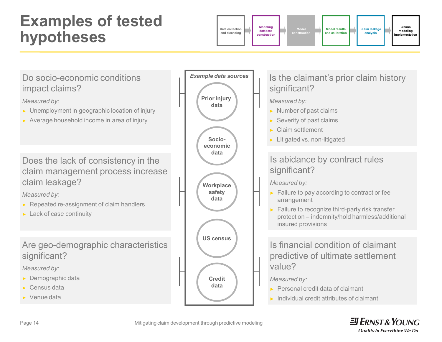### **Examples of tested hypotheses**





 $\equiv$ **ERNST & YOUNG**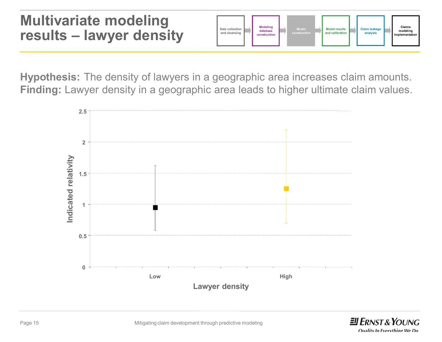#### **Multivariate modeling results – lawyer density**



**Hypothesis:** The density of lawyers in a geographic area increases claim amounts. **Finding:** Lawyer density in a geographic area leads to higher ultimate claim values.



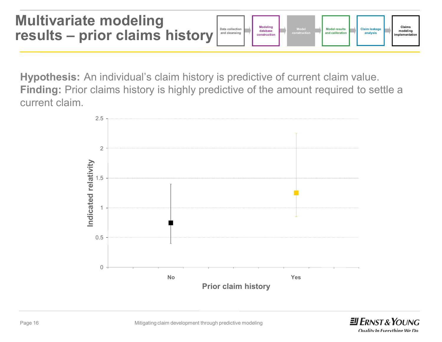**Multivariate modeling results – prior claims history Data collection and cleansing Modeling database construction Model construction Model results and calibration Claims modeling implementation Claim leakage analysis**

**Hypothesis:** An individual's claim history is predictive of current claim value. **Finding:** Prior claims history is highly predictive of the amount required to settle a current claim.



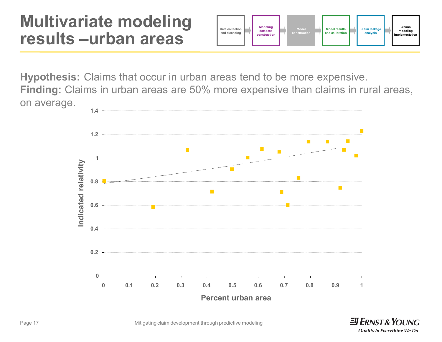### **Multivariate modeling results –urban areas**



**Hypothesis:** Claims that occur in urban areas tend to be more expensive. **Finding:** Claims in urban areas are 50% more expensive than claims in rural areas, on average.



 $\equiv$ **FRNST & YOUNG**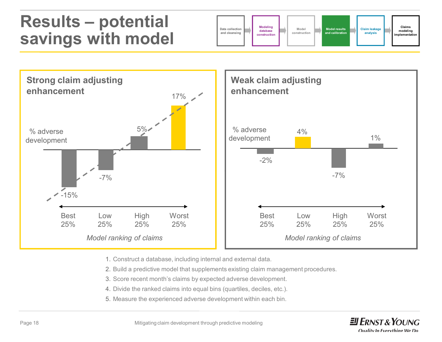### **Results – potential savings with model**





- 1. Construct a database, including internal and external data.
- 2. Build a predictive model that supplements existing claim management procedures.
- 3. Score recent month's claims by expected adverse development.
- 4. Divide the ranked claims into equal bins (quartiles, deciles, etc.).
- 5. Measure the experienced adverse development within each bin.

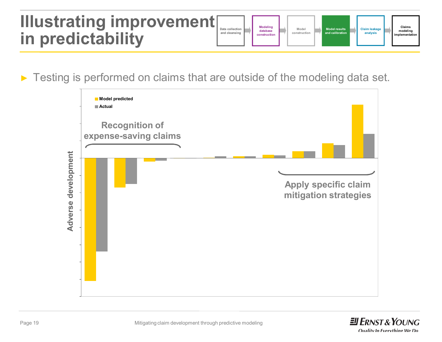### **Illustrating improvement in predictability**

| <b>Modeling</b><br>Claims<br><b>Claim leakage</b><br>Data collection<br><b>Model results</b><br>Model<br>modeling<br>database<br>and calibration<br>analysis<br>and cleansing<br>construction<br>implementation<br>construction |
|---------------------------------------------------------------------------------------------------------------------------------------------------------------------------------------------------------------------------------|
|---------------------------------------------------------------------------------------------------------------------------------------------------------------------------------------------------------------------------------|

► Testing is performed on claims that are outside of the modeling data set.



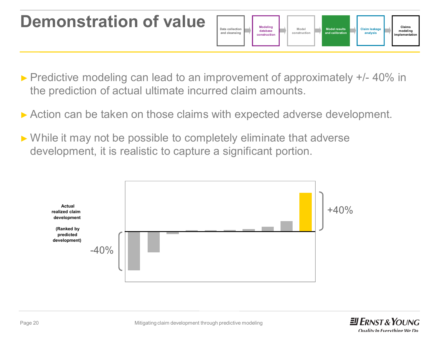### **Demonstration of value**



- ► Predictive modeling can lead to an improvement of approximately +/- 40% in the prediction of actual ultimate incurred claim amounts.
- ► Action can be taken on those claims with expected adverse development.
- ► While it may not be possible to completely eliminate that adverse development, it is realistic to capture a significant portion.



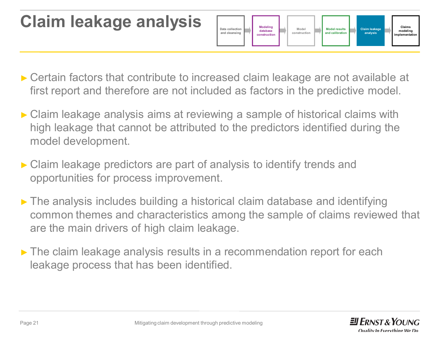# **Claim leakage analysis**



- ► Certain factors that contribute to increased claim leakage are not available at first report and therefore are not included as factors in the predictive model.
- ► Claim leakage analysis aims at reviewing a sample of historical claims with high leakage that cannot be attributed to the predictors identified during the model development.
- ► Claim leakage predictors are part of analysis to identify trends and opportunities for process improvement.
- ► The analysis includes building a historical claim database and identifying common themes and characteristics among the sample of claims reviewed that are the main drivers of high claim leakage.
- ► The claim leakage analysis results in a recommendation report for each leakage process that has been identified.

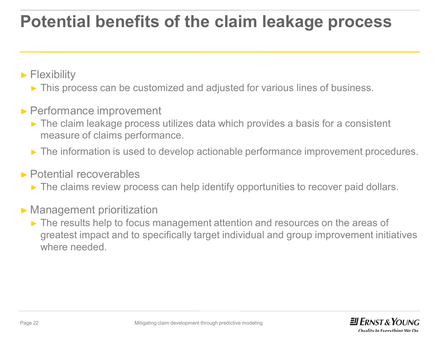# **Potential benefits of the claim leakage process**

► Flexibility

► This process can be customized and adjusted for various lines of business.

#### ► Performance improvement

- ► The claim leakage process utilizes data which provides a basis for a consistent measure of claims performance.
- ► The information is used to develop actionable performance improvement procedures.

#### ► Potential recoverables

► The claims review process can help identify opportunities to recover paid dollars.

#### ► Management prioritization

► The results help to focus management attention and resources on the areas of greatest impact and to specifically target individual and group improvement initiatives where needed.

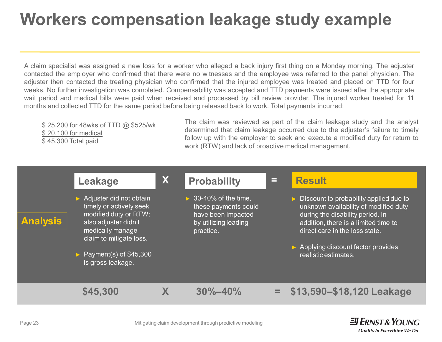# **Workers compensation leakage study example Workers compensation leakage study example**

A claim specialist was assigned a new loss for a worker who alleged a back injury first thing on a Monday morning. The adjuster contacted the employer who confirmed that there were no witnesses and the employee was referred to the panel physician. The adjuster then contacted the treating physician who confirmed that the injured employee was treated and placed on TTD for four weeks. No further investigation was completed. Compensability was accepted and TTD payments were issued after the appropriate wait period and medical bills were paid when received and processed by bill review provider. The injured worker treated for 11 months and collected TTD for the same period before being released back to work. Total payments incurred:

\$25,200 for 48wks of TTD @ \$525/wk \$ 20,100 for medical \$ 45,300 Total paid

The claim was reviewed as part of the claim leakage study and the analyst determined that claim leakage occurred due to the adjuster's failure to timely follow up with the employer to seek and execute a modified duty for return to work (RTW) and lack of proactive medical management.



 $\equiv$ **FRNST & YOUNG**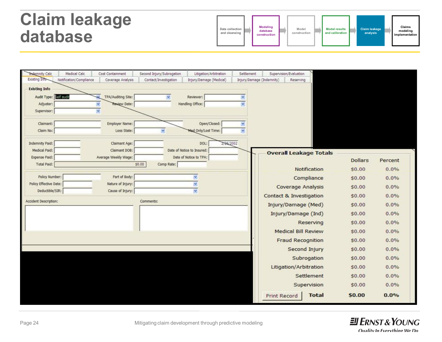### **Claim leakage database**



| <b>Indemnity Calc</b>  | Medical Calc            | Cost Containment     | Second Injury/Subrogation | Litigation/Arbitration     | Settlement |                           | Supervision/Evaluation        |                |         |
|------------------------|-------------------------|----------------------|---------------------------|----------------------------|------------|---------------------------|-------------------------------|----------------|---------|
| Existing Info          | Notification/Compliance | Coverage Analysis    | Contact/Investigation     | Injury/Damage (Medical)    |            | Injury/Damage (Indemnity) | Reserving                     |                |         |
| <b>Existing Info</b>   |                         |                      |                           |                            |            |                           |                               |                |         |
| Audit Type: Edifated   |                         | TPA/Auditing Site:   | N,                        | Reviewer:                  | ×          |                           |                               |                |         |
| Adjuster:              |                         | Review Date:         |                           | Handling Office:           | v          |                           |                               |                |         |
| Supervisor:            |                         |                      |                           |                            |            |                           |                               |                |         |
| Claimant:              |                         | Employer Name:       |                           | Open/Closed:               | ×          |                           |                               |                |         |
| Claim No:              |                         | Loss State:          | Ÿ                         | Med Only/Lost Time:        | v          |                           |                               |                |         |
| Indemnity Paid:        |                         | Claimant Age:        |                           | 2/26/2002<br>DOL:          |            |                           |                               |                |         |
| Medical Paid:          |                         | Claimant DOB:        |                           | Date of Notice to Insured: |            |                           | <b>Overall Leakage Totals</b> |                |         |
| Expense Paid:          |                         | Average Weekly Wage: |                           | Date of Notice to TPA:     |            |                           |                               | <b>Dollars</b> | Percent |
| <b>Total Paid:</b>     |                         |                      | \$0.00<br>Comp Rate:      |                            |            |                           | Notification                  | \$0.00         | 0.0%    |
| Policy Number:         |                         | Part of Body:        |                           | v                          |            |                           | Compliance                    | \$0.00         | 0.0%    |
| Policy Effective Date: |                         | Nature of Injury:    |                           | ×                          |            |                           | <b>Coverage Analysis</b>      | \$0.00         | 0.0%    |
| Deductible/SIR:        |                         | Cause of Injury:     |                           | Ÿ.                         |            |                           | Contact & Investigation       | \$0.00         | 0.0%    |
| Accident Description:  |                         |                      | Comments:                 |                            |            |                           | Injury/Damage (Med)           | \$0.00         | 0.0%    |
|                        |                         |                      |                           |                            |            |                           |                               |                |         |
|                        |                         |                      |                           |                            |            |                           | Injury/Damage (Ind)           | \$0.00         | 0.0%    |
|                        |                         |                      |                           |                            |            |                           | Reserving                     | \$0.00         | 0.0%    |
|                        |                         |                      |                           |                            |            |                           | <b>Medical Bill Review</b>    | \$0.00         | 0.0%    |
|                        |                         |                      |                           |                            |            |                           | <b>Fraud Recognition</b>      | \$0.00         | 0.0%    |
|                        |                         |                      |                           |                            |            |                           | Second Injury                 | \$0.00         | 0.0%    |
|                        |                         |                      |                           |                            |            |                           | Subrogation                   | \$0.00         | 0.0%    |
|                        |                         |                      |                           |                            |            |                           | Litigation/Arbitration        | \$0.00         | 0.0%    |
|                        |                         |                      |                           |                            |            |                           | Settlement                    | \$0.00         | 0.0%    |
|                        |                         |                      |                           |                            |            |                           | Supervision                   | \$0.00         | 0.0%    |
|                        |                         |                      |                           |                            |            | <b>Print Record</b>       | <b>Total</b>                  | <b>SO.00</b>   | 0.0%    |
|                        |                         |                      |                           |                            |            |                           |                               |                |         |

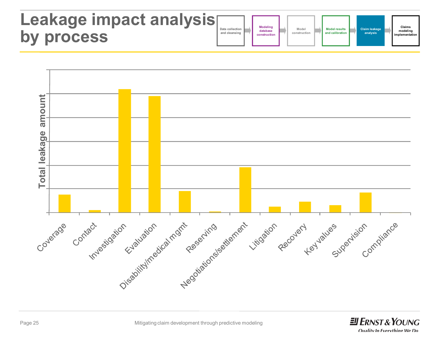### **Leakage impact analysi by process**

| $\blacksquare$ | Data collection<br>and cleansing |  | <b>Modeling</b><br>database<br>construction |  | Model<br>construction |  | <b>Model results</b><br>and calibration |  | Claim leakage<br>analysis |  | Claims<br>modeling<br>implementation |  |
|----------------|----------------------------------|--|---------------------------------------------|--|-----------------------|--|-----------------------------------------|--|---------------------------|--|--------------------------------------|--|
|----------------|----------------------------------|--|---------------------------------------------|--|-----------------------|--|-----------------------------------------|--|---------------------------|--|--------------------------------------|--|



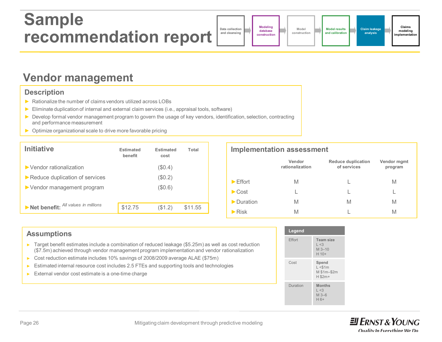### **Sample recommendation report**

**Data collection and cleansing Modeling database construction**

**Model construction**

**Claims modeling implementation**

**Claim leakage analysis**

#### **Vendor management**

#### **Description**

- ► Rationalize the number of claims vendors utilized across LOBs
- ► Eliminate duplication of internal and external claim services (i.e., appraisal tools, software)
- ► Develop formal vendor management program to govern the usage of key vendors, identification, selection, contracting and performance measurement
- ► Optimize organizational scale to drive more favorable pricing

| <b>Initiative</b>                                                    | <b>Estimated</b><br>benefit | <b>Estimated</b><br>cost | Total   |
|----------------------------------------------------------------------|-----------------------------|--------------------------|---------|
| $\blacktriangleright$ Vendor rationalization                         |                             | (\$0.4)                  |         |
| Reduce duplication of services                                       |                             | $(\$0.2)$                |         |
| $\triangleright$ Vendor management program                           |                             | (\$0.6)                  |         |
|                                                                      |                             |                          |         |
| $\blacktriangleright$ Net benefit: $\mathsf{All}$ values in millions | \$12.75                     | (\$1.2)                  | \$11.55 |

#### **Implementation assessment**

|                              | Vendor<br>rationalization | <b>Reduce duplication</b><br>of services | Vendor mgmt<br>program |
|------------------------------|---------------------------|------------------------------------------|------------------------|
| $\blacktriangleright$ Effort | M                         |                                          | M                      |
| $\blacktriangleright$ Cost   |                           |                                          |                        |
| Duration                     | M                         | M                                        | M                      |
| $\blacktriangleright$ Risk   | M                         |                                          | M                      |

| <b>Assumptions</b>                                                                                                                                                                                                                                  | Legend        |
|-----------------------------------------------------------------------------------------------------------------------------------------------------------------------------------------------------------------------------------------------------|---------------|
| <b>Figure 1</b> Target benefit estimates include a combination of reduced leakage $(\$5.25m)$ as well as cost reduction<br>(\$7.5m) achieved through vendor management program implementation and vendor rationalization                            | <b>Effort</b> |
| ► Cost reduction estimate includes 10% savings of 2008/2009 average ALAE (\$75m)<br>Estimated internal resource cost includes 2.5 FTEs and supporting tools and technologies<br>$\triangleright$ External vendor cost estimate is a one-time charge | Cost          |
|                                                                                                                                                                                                                                                     |               |



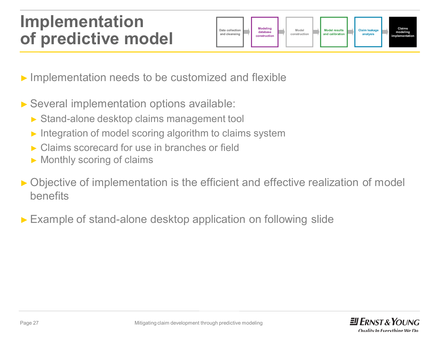### **Implementation of predictive model**



- ► Implementation needs to be customized and flexible **dictive model**<br>and deansing<br>entation needs to be customized and flexi<br>implementation options available:<br>alone desktop claims management tool
- ► Several implementation options available:
	- ► Stand-alone desktop claims management tool
	- ► Integration of model scoring algorithm to claims system
	- ► Claims scorecard for use in branches or field
	- ► Monthly scoring of claims
- ► Objective of implementation is the efficient and effective realization of model benefits
- ► Example of stand-alone desktop application on following slide

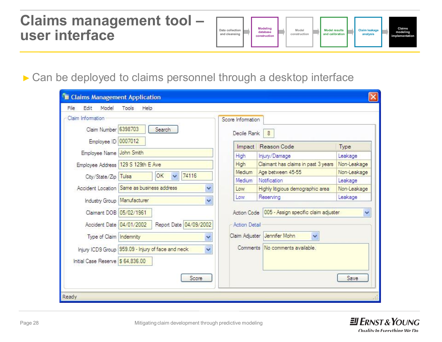#### **Claims management tool – user interface**



#### ► Can be deployed to claims personnel through a desktop interface

| Claim Information<br>Claim Number 6398703 | Search                                             | Score Information<br>Decile Rank |                      | 8                                                  |             |
|-------------------------------------------|----------------------------------------------------|----------------------------------|----------------------|----------------------------------------------------|-------------|
| Employee ID 0007012                       |                                                    |                                  | Impact               | Reason Code                                        | Type        |
| Employee Name John Smith                  |                                                    | High                             |                      | Injury/Damage                                      | Leakage     |
|                                           | Employee Address 129 S 129th E Ave                 | High                             |                      | Claimant has claims in past 3 years                | Non-Leakage |
| City/State/Zip                            | 74116<br>OK<br>$\overline{\mathbf{v}}$<br>Tulsa    | Medium.                          |                      | Age between 45-55                                  | Non-Leakage |
|                                           |                                                    | Medium                           |                      | Notification                                       | Leakage     |
|                                           | Accident Location Same as business address         | Y<br>Low                         |                      | Highly litigious demographic area                  | Non-Leakage |
| Industry Group   Manufacturer             |                                                    | Low<br>$\ddotmark$               |                      | Reserving                                          | Leakage     |
| Claimant DOB 05/02/1961                   |                                                    |                                  |                      | Action Code   005 - Assign specific claim adjuster | v           |
| Accident Date 04/01/2002                  | Report Date 04/09/2002                             |                                  | <b>Action Detail</b> |                                                    |             |
| Type of Claim   Indemnity                 |                                                    | Y                                |                      | Claim Adjuster Jennifer Mohn<br>Ÿ                  |             |
|                                           | Injury ICD9 Group 959.09 - Injury of face and neck | $\ddotmark$                      | Comments             | No comments available.                             |             |
| Initial Case Reserve \$ 64,836.00         |                                                    |                                  |                      |                                                    |             |
|                                           | Score                                              |                                  |                      |                                                    | Save        |

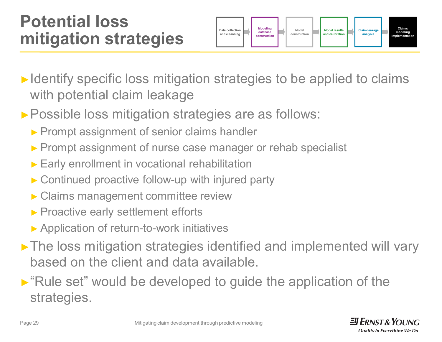### **Potential loss mitigation strategies**



- ► Identify specific loss mitigation strategies to be applied to claims with potential claim leakage
- ► Possible loss mitigation strategies are as follows:
	- ► Prompt assignment of senior claims handler
	- ► Prompt assignment of nurse case manager or rehab specialist
	- ► Early enrollment in vocational rehabilitation
	- ► Continued proactive follow-up with injured party
	- ► Claims management committee review ow-up<br>mmitt<br>ent effo<br>work ii
	- ► Proactive early settlement efforts
	- ► Application of return-to-work initiatives
- ►The loss mitigation strategies identified and implemented will vary based on the client and data available.
- ►"Rule set" would be developed to guide the application of the strategies.

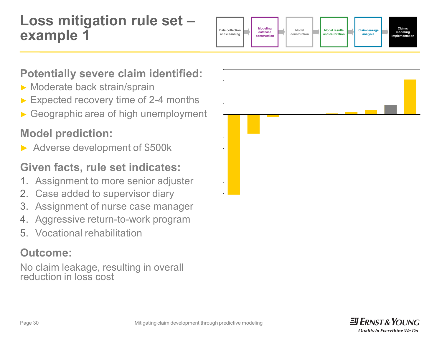#### **Loss mitigation rule set – example 1**



#### **Potentially severe claim identified:**

- ► Moderate back strain/sprain
- ► Expected recovery time of 2-4 months
- ► Geographic area of high unemployment

#### **Model prediction:**

► Adverse development of \$500k

#### **Given facts, rule set indicates:**

- 1. Assignment to more senior adjuster
- 2. Case added to supervisor diary
- 3. Assignment of nurse case manager
- 4. Aggressive return-to-work program
- 5. Vocational rehabilitation

#### **Outcome:**

No claim leakage, resulting in overall reduction in loss cost



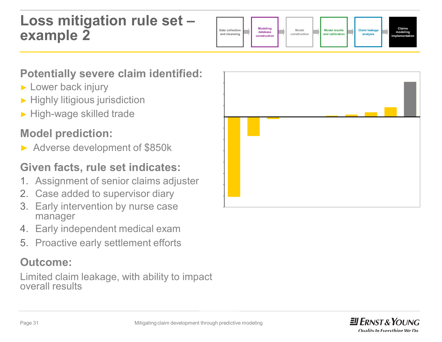#### **Loss mitigation rule set – example 2**



#### **Potentially severe claim identified:**

- ► Lower back injury
- ► Highly litigious jurisdiction
- ► High-wage skilled trade

#### **Model prediction:**

► Adverse development of \$850k

#### **Given facts, rule set indicates:**

- 1. Assignment of senior claims adjuster
- 2. Case added to supervisor diary
- 3. Early intervention by nurse case manager
- 4. Early independent medical exam
- 5. Proactive early settlement efforts

#### **Outcome:**

Limited claim leakage, with ability to impact overall results



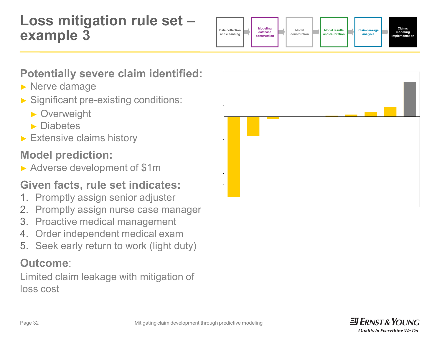#### **Loss mitigation rule set – example 3**



#### **Potentially severe claim identified:**

- ► Nerve damage
- ► Significant pre-existing conditions:
	- ► Overweight
	- ► Diabetes
- ► Extensive claims history

#### **Model prediction:**

► Adverse development of \$1m

#### **Given facts, rule set indicates:**

- 1. Promptly assign senior adjuster
- 2. Promptly assign nurse case manager
- 3. Proactive medical management
- 4. Order independent medical exam
- 5. Seek early return to work (light duty)

#### **Outcome**:

Limited claim leakage with mitigation of loss cost